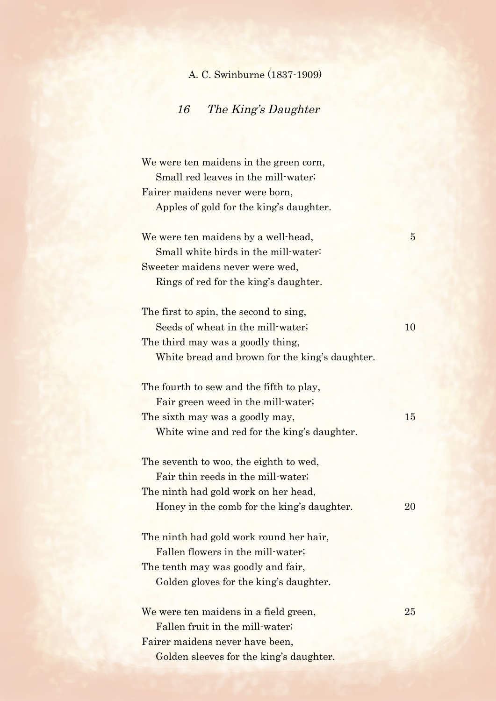## A. C. Swinburne (1837-1909)

## 16 The King's Daughter

We were ten maidens in the green corn, Small red leaves in the mill-water; Fairer maidens never were born, Apples of gold for the king's daughter. We were ten maidens by a well-head, 5 Small white birds in the mill-water: Sweeter maidens never were wed, Rings of red for the king's daughter. The first to spin, the second to sing, Seeds of wheat in the mill-water; 10 The third may was a goodly thing. White bread and brown for the king's daughter. The fourth to sew and the fifth to play, Fair green weed in the mill-water; The sixth may was a goodly may, 15 White wine and red for the king's daughter. The seventh to woo, the eighth to wed. Fair thin reeds in the mill-water; The ninth had gold work on her head, Honey in the comb for the king's daughter. 20 The ninth had gold work round her hair. Fallen flowers in the mill-water; The tenth may was goodly and fair, Golden gloves for the king's daughter. We were ten maidens in a field green, 25 Fallen fruit in the mill-water; Fairer maidens never have been, Golden sleeves for the king's daughter.